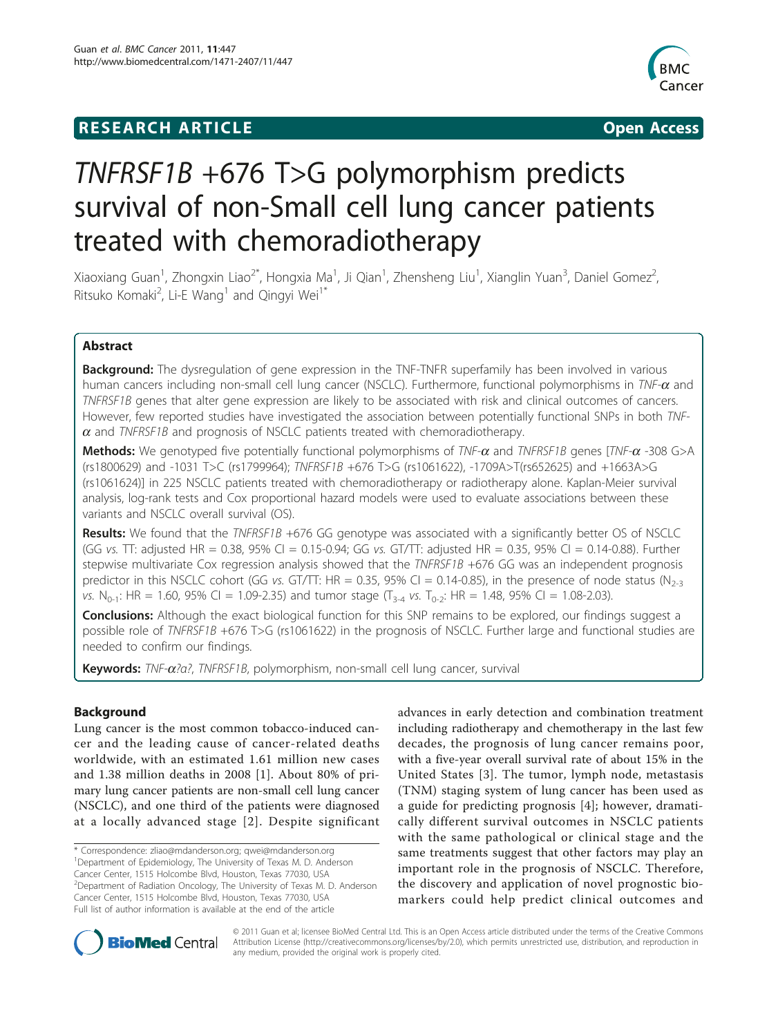## **RESEARCH ARTICLE Example 2014 CONSUMING ACCESS**



# TNFRSF1B +676 T>G polymorphism predicts survival of non-Small cell lung cancer patients treated with chemoradiotherapy

Xiaoxiang Guan<sup>1</sup>, Zhongxin Liao<sup>2\*</sup>, Hongxia Ma<sup>1</sup>, Ji Qian<sup>1</sup>, Zhensheng Liu<sup>1</sup>, Xianglin Yuan<sup>3</sup>, Daniel Gomez<sup>2</sup> .<br>, Ritsuko Komaki<sup>2</sup>, Li-E Wang<sup>1</sup> and Qingyi Wei<sup>1\*</sup>

## Abstract

**Background:** The dysregulation of gene expression in the TNF-TNFR superfamily has been involved in various human cancers including non-small cell lung cancer (NSCLC). Furthermore, functional polymorphisms in TNF- $\alpha$  and TNFRSF1B genes that alter gene expression are likely to be associated with risk and clinical outcomes of cancers. However, few reported studies have investigated the association between potentially functional SNPs in both TNF- $\alpha$  and TNFRSF1B and prognosis of NSCLC patients treated with chemoradiotherapy.

**Methods:** We genotyped five potentially functional polymorphisms of  $TNF$ - $\alpha$  and  $TNF$ - $\beta$  genes [ $TNF$ - $\alpha$  -308 G>A (rs1800629) and -1031 T>C (rs1799964); TNFRSF1B +676 T>G (rs1061622), -1709A>T(rs652625) and +1663A>G (rs1061624)] in 225 NSCLC patients treated with chemoradiotherapy or radiotherapy alone. Kaplan-Meier survival analysis, log-rank tests and Cox proportional hazard models were used to evaluate associations between these variants and NSCLC overall survival (OS).

Results: We found that the TNFRSF1B +676 GG genotype was associated with a significantly better OS of NSCLC (GG vs. TT: adjusted HR = 0.38, 95% CI = 0.15-0.94; GG vs. GT/TT: adjusted HR = 0.35, 95% CI = 0.14-0.88). Further stepwise multivariate Cox regression analysis showed that the TNFRSF1B +676 GG was an independent prognosis predictor in this NSCLC cohort (GG vs. GT/TT: HR = 0.35, 95% CI = 0.14-0.85), in the presence of node status (N<sub>2-3</sub>) vs. N<sub>0-1</sub>: HR = 1.60, 95% CI = 1.09-2.35) and tumor stage (T<sub>3-4</sub> vs. T<sub>0-2</sub>: HR = 1.48, 95% CI = 1.08-2.03).

**Conclusions:** Although the exact biological function for this SNP remains to be explored, our findings suggest a possible role of TNFRSF1B +676 T>G (rs1061622) in the prognosis of NSCLC. Further large and functional studies are needed to confirm our findings.

Keywords: TNF-α?α?, TNFRSF1B, polymorphism, non-small cell lung cancer, survival

## Background

Lung cancer is the most common tobacco-induced cancer and the leading cause of cancer-related deaths worldwide, with an estimated 1.61 million new cases and 1.38 million deaths in 2008 [[1](#page-8-0)]. About 80% of primary lung cancer patients are non-small cell lung cancer (NSCLC), and one third of the patients were diagnosed at a locally advanced stage [[2\]](#page-8-0). Despite significant

advances in early detection and combination treatment including radiotherapy and chemotherapy in the last few decades, the prognosis of lung cancer remains poor, with a five-year overall survival rate of about 15% in the United States [[3](#page-8-0)]. The tumor, lymph node, metastasis (TNM) staging system of lung cancer has been used as a guide for predicting prognosis [[4\]](#page-8-0); however, dramatically different survival outcomes in NSCLC patients with the same pathological or clinical stage and the same treatments suggest that other factors may play an important role in the prognosis of NSCLC. Therefore, the discovery and application of novel prognostic biomarkers could help predict clinical outcomes and



© 2011 Guan et al; licensee BioMed Central Ltd. This is an Open Access article distributed under the terms of the Creative Commons Attribution License [\(http://creativecommons.org/licenses/by/2.0](http://creativecommons.org/licenses/by/2.0)), which permits unrestricted use, distribution, and reproduction in any medium, provided the original work is properly cited.

<sup>\*</sup> Correspondence: [zliao@mdanderson.org](mailto:zliao@mdanderson.org); [qwei@mdanderson.org](mailto:qwei@mdanderson.org) <sup>1</sup>Department of Epidemiology, The University of Texas M. D. Anderson Cancer Center, 1515 Holcombe Blvd, Houston, Texas 77030, USA <sup>2</sup>Department of Radiation Oncology, The University of Texas M. D. Anderson Cancer Center, 1515 Holcombe Blvd, Houston, Texas 77030, USA Full list of author information is available at the end of the article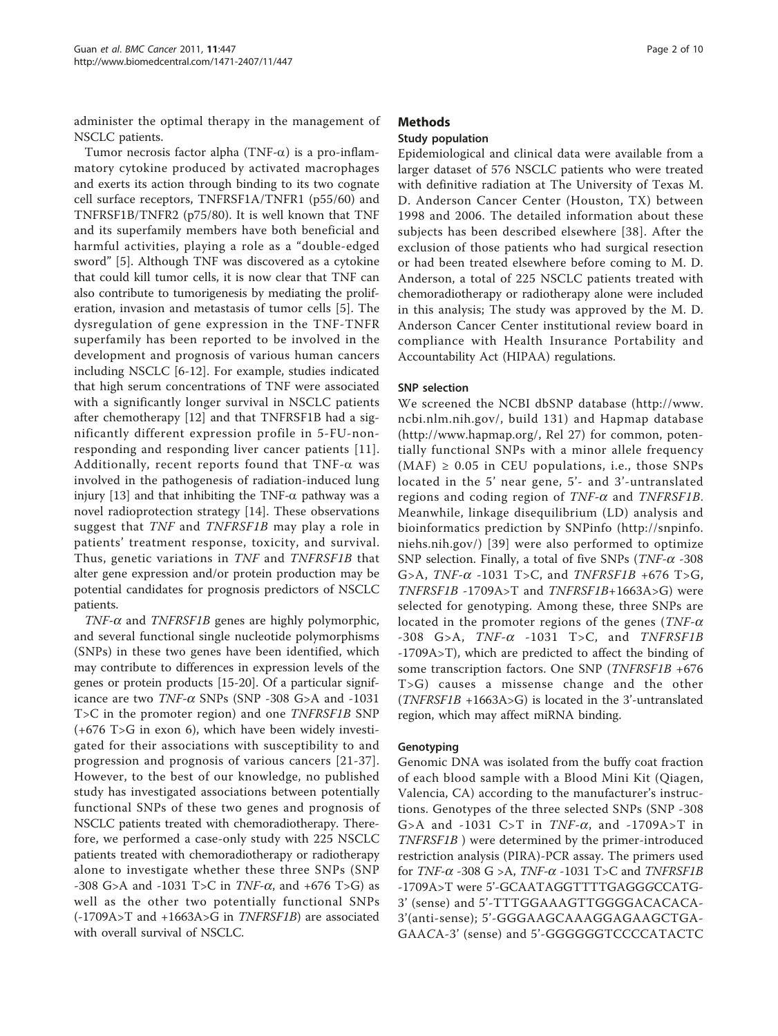administer the optimal therapy in the management of NSCLC patients.

Tumor necrosis factor alpha (TNF- $\alpha$ ) is a pro-inflammatory cytokine produced by activated macrophages and exerts its action through binding to its two cognate cell surface receptors, TNFRSF1A/TNFR1 (p55/60) and TNFRSF1B/TNFR2 (p75/80). It is well known that TNF and its superfamily members have both beneficial and harmful activities, playing a role as a "double-edged sword" [[5\]](#page-8-0). Although TNF was discovered as a cytokine that could kill tumor cells, it is now clear that TNF can also contribute to tumorigenesis by mediating the proliferation, invasion and metastasis of tumor cells [\[5](#page-8-0)]. The dysregulation of gene expression in the TNF-TNFR superfamily has been reported to be involved in the development and prognosis of various human cancers including NSCLC [[6-12](#page-8-0)]. For example, studies indicated that high serum concentrations of TNF were associated with a significantly longer survival in NSCLC patients after chemotherapy [\[12](#page-8-0)] and that TNFRSF1B had a significantly different expression profile in 5-FU-nonresponding and responding liver cancer patients [[11\]](#page-8-0). Additionally, recent reports found that  $TNF-\alpha$  was involved in the pathogenesis of radiation-induced lung injury [[13\]](#page-8-0) and that inhibiting the TNF- $\alpha$  pathway was a novel radioprotection strategy [[14\]](#page-8-0). These observations suggest that TNF and TNFRSF1B may play a role in patients' treatment response, toxicity, and survival. Thus, genetic variations in TNF and TNFRSF1B that alter gene expression and/or protein production may be potential candidates for prognosis predictors of NSCLC patients.

 $TNF-\alpha$  and  $TNFRSF1B$  genes are highly polymorphic, and several functional single nucleotide polymorphisms (SNPs) in these two genes have been identified, which may contribute to differences in expression levels of the genes or protein products [[15](#page-8-0)-[20\]](#page-9-0). Of a particular significance are two  $TNF-\alpha$  SNPs (SNP -308 G>A and -1031 T>C in the promoter region) and one TNFRSF1B SNP (+676 T>G in exon 6), which have been widely investigated for their associations with susceptibility to and progression and prognosis of various cancers [[21-37\]](#page-9-0). However, to the best of our knowledge, no published study has investigated associations between potentially functional SNPs of these two genes and prognosis of NSCLC patients treated with chemoradiotherapy. Therefore, we performed a case-only study with 225 NSCLC patients treated with chemoradiotherapy or radiotherapy alone to investigate whether these three SNPs (SNP -308 G>A and -1031 T>C in  $TNF-\alpha$ , and +676 T>G) as well as the other two potentially functional SNPs  $(-1709A>T$  and  $+1663A>T$  in *TNFRSF1B*) are associated with overall survival of NSCLC.

## Methods

## Study population

Epidemiological and clinical data were available from a larger dataset of 576 NSCLC patients who were treated with definitive radiation at The University of Texas M. D. Anderson Cancer Center (Houston, TX) between 1998 and 2006. The detailed information about these subjects has been described elsewhere [[38\]](#page-9-0). After the exclusion of those patients who had surgical resection or had been treated elsewhere before coming to M. D. Anderson, a total of 225 NSCLC patients treated with chemoradiotherapy or radiotherapy alone were included in this analysis; The study was approved by the M. D. Anderson Cancer Center institutional review board in compliance with Health Insurance Portability and Accountability Act (HIPAA) regulations.

## SNP selection

We screened the NCBI dbSNP database ([http://www.](http://www.ncbi.nlm.nih.gov/) [ncbi.nlm.nih.gov/](http://www.ncbi.nlm.nih.gov/), build 131) and Hapmap database (<http://www.hapmap.org/>, Rel 27) for common, potentially functional SNPs with a minor allele frequency  $(MAF) \geq 0.05$  in CEU populations, i.e., those SNPs located in the 5' near gene, 5'- and 3'-untranslated regions and coding region of  $TNF-\alpha$  and  $TNFRSF1B$ . Meanwhile, linkage disequilibrium (LD) analysis and bioinformatics prediction by SNPinfo ([http://snpinfo.](http://snpinfo.niehs.nih.gov/) [niehs.nih.gov/](http://snpinfo.niehs.nih.gov/)) [[39](#page-9-0)] were also performed to optimize SNP selection. Finally, a total of five SNPs ( $TNF-\alpha$  -308 G>A,  $TNF-\alpha$  -1031 T>C, and  $TNFRSF1B +676$  T>G, TNFRSF1B -1709A>T and TNFRSF1B+1663A>G) were selected for genotyping. Among these, three SNPs are located in the promoter regions of the genes ( $TNF-\alpha$  $-308$  G>A, TNF- $\alpha$  -1031 T>C, and TNFRSF1B -1709A>T), which are predicted to affect the binding of some transcription factors. One SNP (TNFRSF1B +676 T>G) causes a missense change and the other  $(TNFRSF1B + 1663A > G)$  is located in the 3'-untranslated region, which may affect miRNA binding.

## Genotyping

Genomic DNA was isolated from the buffy coat fraction of each blood sample with a Blood Mini Kit (Qiagen, Valencia, CA) according to the manufacturer's instructions. Genotypes of the three selected SNPs (SNP -308 G>A and -1031 C>T in  $TNF-\alpha$ , and -1709A>T in TNFRSF1B ) were determined by the primer-introduced restriction analysis (PIRA)-PCR assay. The primers used for *TNF-* $\alpha$  *-308 G >A, TNF-* $\alpha$  *-1031 T>C and <i>TNFRSF1B* -1709A>T were 5'-GCAATAGGTTTTGAGGGCCATG-3' (sense) and 5'-TTTGGAAAGTTGGGGACACACA-3'(anti-sense); 5'-GGGAAGCAAAGGAGAAGCTGA-GAACA-3' (sense) and 5'-GGGGGGTCCCCATACTC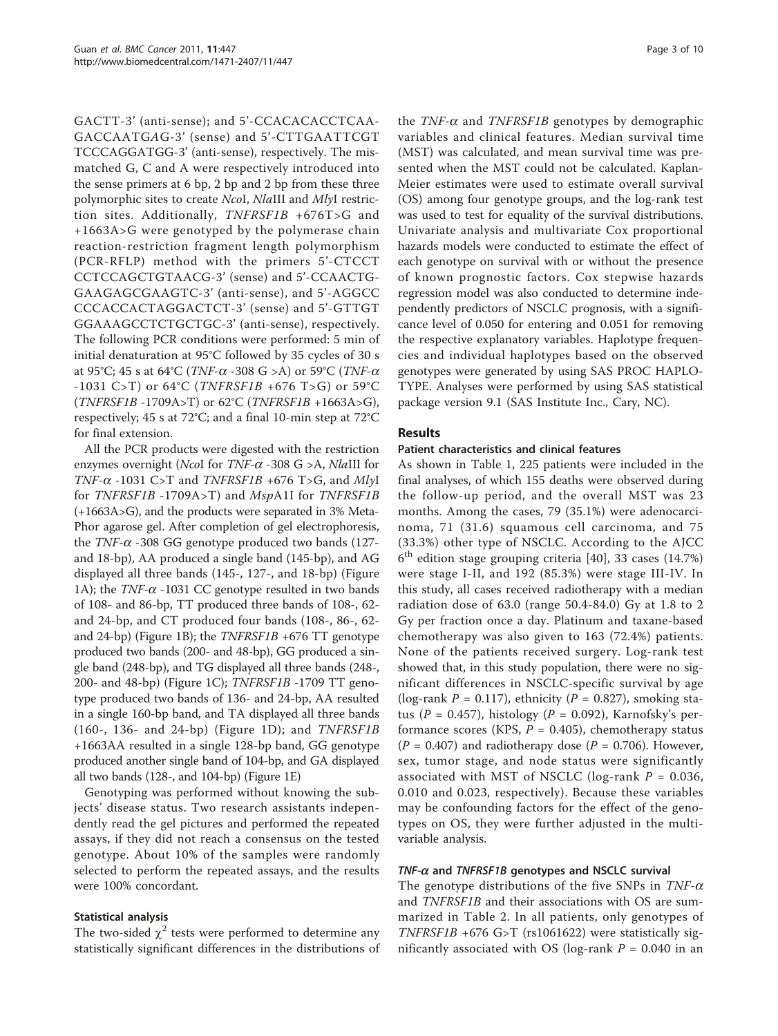GACTT-3' (anti-sense); and 5'-CCACACACCTCAA-GACCAATGAG-3' (sense) and 5'-CTTGAATTCGT TCCCAGGATGG-3' (anti-sense), respectively. The mismatched G, C and A were respectively introduced into the sense primers at 6 bp, 2 bp and 2 bp from these three polymorphic sites to create NcoI, NlaIII and MlyI restriction sites. Additionally, TNFRSF1B +676T>G and +1663A>G were genotyped by the polymerase chain reaction-restriction fragment length polymorphism (PCR-RFLP) method with the primers 5'-CTCCT CCTCCAGCTGTAACG-3' (sense) and 5'-CCAACTG-GAAGAGCGAAGTC-3' (anti-sense), and 5'-AGGCC CCCACCACTAGGACTCT-3' (sense) and 5'-GTTGT GGAAAGCCTCTGCTGC-3' (anti-sense), respectively. The following PCR conditions were performed: 5 min of initial denaturation at 95°C followed by 35 cycles of 30 s at 95°C; 45 s at 64°C (*TNF-* $\alpha$  *-308 G >A*) or 59°C (*TNF-* $\alpha$ -1031 C>T) or 64°C (*TNFRSF1B* +676 T>G) or 59°C (TNFRSF1B -1709A>T) or 62°C (TNFRSF1B +1663A>G), respectively; 45 s at 72°C; and a final 10-min step at 72°C for final extension.

All the PCR products were digested with the restriction enzymes overnight (NcoI for TNF- $\alpha$  -308 G >A, NlaIII for TNF- $\alpha$  -1031 C>T and TNFRSF1B +676 T>G, and MlyI for TNFRSF1B -1709A>T) and MspA1I for TNFRSF1B (+1663A>G), and the products were separated in 3% Meta-Phor agarose gel. After completion of gel electrophoresis, the  $TNF-\alpha$  -308 GG genotype produced two bands (127and 18-bp), AA produced a single band (145-bp), and AG displayed all three bands (145-, 127-, and 18-bp) (Figure [1A](#page-3-0)); the  $TNF-\alpha$  -1031 CC genotype resulted in two bands of 108- and 86-bp, TT produced three bands of 108-, 62 and 24-bp, and CT produced four bands (108-, 86-, 62 and 24-bp) (Figure [1B](#page-3-0)); the TNFRSF1B +676 TT genotype produced two bands (200- and 48-bp), GG produced a single band (248-bp), and TG displayed all three bands (248-, 200- and 48-bp) (Figure [1C\)](#page-3-0); TNFRSF1B -1709 TT genotype produced two bands of 136- and 24-bp, AA resulted in a single 160-bp band, and TA displayed all three bands (160-, 136- and 24-bp) (Figure [1D](#page-3-0)); and TNFRSF1B +1663AA resulted in a single 128-bp band, GG genotype produced another single band of 104-bp, and GA displayed all two bands (128-, and 104-bp) (Figure [1E](#page-3-0))

Genotyping was performed without knowing the subjects' disease status. Two research assistants independently read the gel pictures and performed the repeated assays, if they did not reach a consensus on the tested genotype. About 10% of the samples were randomly selected to perform the repeated assays, and the results were 100% concordant.

## Statistical analysis

The two-sided  $\chi^2$  tests were performed to determine any statistically significant differences in the distributions of

the  $TNF-\alpha$  and  $TNFRSF1B$  genotypes by demographic variables and clinical features. Median survival time (MST) was calculated, and mean survival time was presented when the MST could not be calculated. Kaplan-Meier estimates were used to estimate overall survival (OS) among four genotype groups, and the log-rank test was used to test for equality of the survival distributions. Univariate analysis and multivariate Cox proportional hazards models were conducted to estimate the effect of each genotype on survival with or without the presence of known prognostic factors. Cox stepwise hazards regression model was also conducted to determine independently predictors of NSCLC prognosis, with a significance level of 0.050 for entering and 0.051 for removing the respective explanatory variables. Haplotype frequencies and individual haplotypes based on the observed genotypes were generated by using SAS PROC HAPLO-TYPE. Analyses were performed by using SAS statistical package version 9.1 (SAS Institute Inc., Cary, NC).

## Results

#### Patient characteristics and clinical features

As shown in Table [1](#page-4-0), 225 patients were included in the final analyses, of which 155 deaths were observed during the follow-up period, and the overall MST was 23 months. Among the cases, 79 (35.1%) were adenocarcinoma, 71 (31.6) squamous cell carcinoma, and 75 (33.3%) other type of NSCLC. According to the AJCC  $6<sup>th</sup>$  edition stage grouping criteria [[40\]](#page-9-0), 33 cases (14.7%) were stage I-II, and 192 (85.3%) were stage III-IV. In this study, all cases received radiotherapy with a median radiation dose of 63.0 (range 50.4-84.0) Gy at 1.8 to 2 Gy per fraction once a day. Platinum and taxane-based chemotherapy was also given to 163 (72.4%) patients. None of the patients received surgery. Log-rank test showed that, in this study population, there were no significant differences in NSCLC-specific survival by age (log-rank  $P = 0.117$ ), ethnicity ( $P = 0.827$ ), smoking status ( $P = 0.457$ ), histology ( $P = 0.092$ ), Karnofsky's performance scores (KPS,  $P = 0.405$ ), chemotherapy status  $(P = 0.407)$  and radiotherapy dose  $(P = 0.706)$ . However, sex, tumor stage, and node status were significantly associated with MST of NSCLC (log-rank  $P = 0.036$ , 0.010 and 0.023, respectively). Because these variables may be confounding factors for the effect of the genotypes on OS, they were further adjusted in the multivariable analysis.

## $TNF-\alpha$  and  $TNFRSF1B$  genotypes and NSCLC survival

The genotype distributions of the five SNPs in  $TNF-\alpha$ and TNFRSF1B and their associations with OS are summarized in Table [2](#page-5-0). In all patients, only genotypes of TNFRSF1B +676 G>T (rs1061622) were statistically significantly associated with OS (log-rank  $P = 0.040$  in an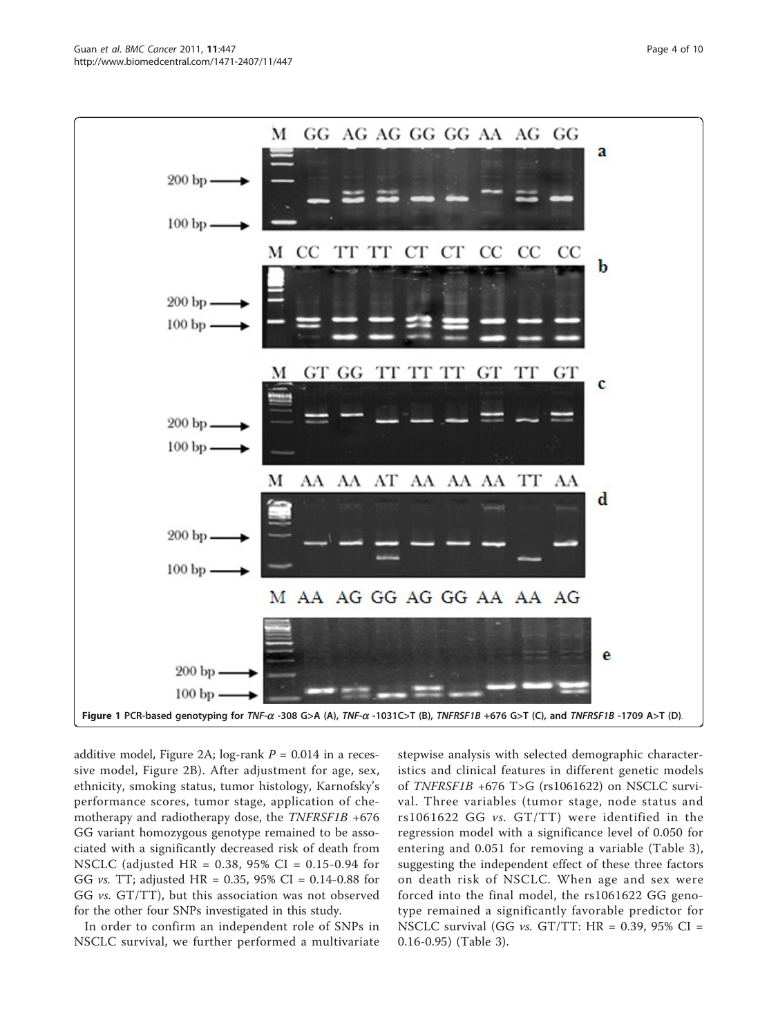<span id="page-3-0"></span>

additive model, Figure [2A;](#page-6-0) log-rank  $P = 0.014$  in a recessive model, Figure [2B](#page-6-0)). After adjustment for age, sex, ethnicity, smoking status, tumor histology, Karnofsky's performance scores, tumor stage, application of chemotherapy and radiotherapy dose, the  $TNFRSF1B +676$ GG variant homozygous genotype remained to be associated with a significantly decreased risk of death from NSCLC (adjusted HR = 0.38, 95% CI = 0.15-0.94 for GG *vs.* TT; adjusted  $HR = 0.35, 95\%$  CI = 0.14-0.88 for GG vs. GT/TT), but this association was not observed for the other four SNPs investigated in this study.

In order to confirm an independent role of SNPs in NSCLC survival, we further performed a multivariate

stepwise analysis with selected demographic characteristics and clinical features in different genetic models of TNFRSF1B +676 T>G (rs1061622) on NSCLC survival. Three variables (tumor stage, node status and rs1061622 GG vs. GT/TT) were identified in the regression model with a significance level of 0.050 for entering and 0.051 for removing a variable (Table [3](#page-7-0)), suggesting the independent effect of these three factors on death risk of NSCLC. When age and sex were forced into the final model, the rs1061622 GG genotype remained a significantly favorable predictor for NSCLC survival (GG  $vs.$  GT/TT: HR = 0.39, 95% CI = 0.16-0.95) (Table [3](#page-7-0)).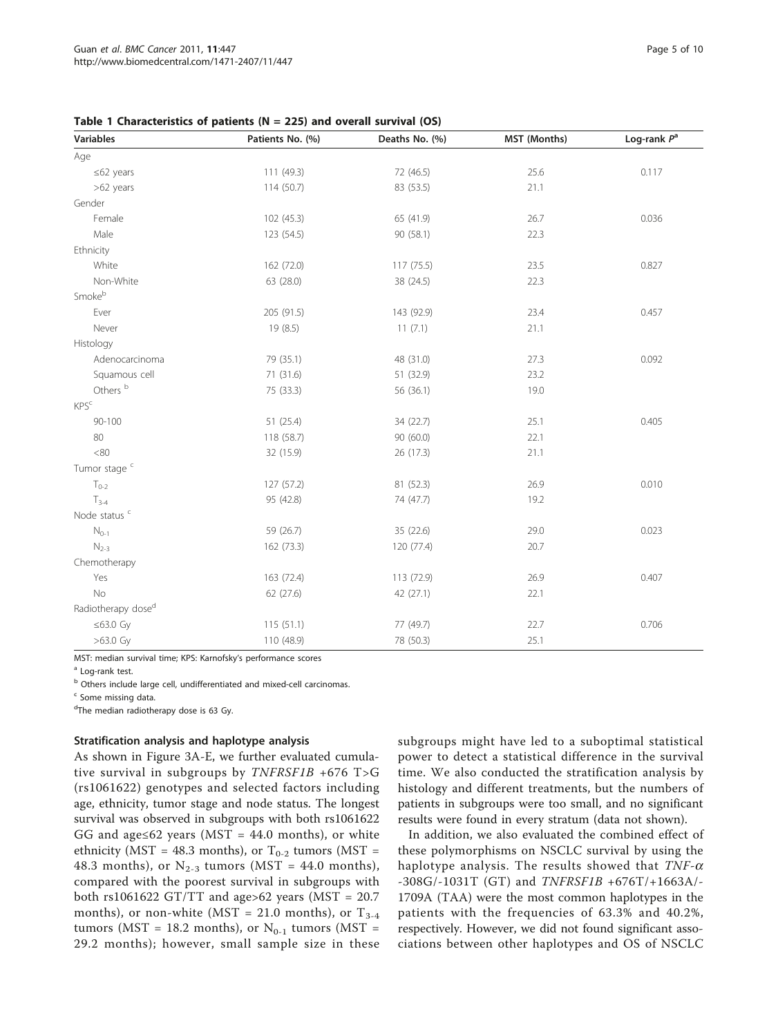<span id="page-4-0"></span>Table 1 Characteristics of patients ( $N = 225$ ) and overall survival (OS)

| <b>Variables</b>               | Patients No. (%) | Deaths No. (%) | MST (Months) | Log-rank $P^a$ |
|--------------------------------|------------------|----------------|--------------|----------------|
| Age                            |                  |                |              |                |
| $\leq 62$ years                | 111 (49.3)       | 72 (46.5)      | 25.6         | 0.117          |
| >62 years                      | 114 (50.7)       | 83 (53.5)      | 21.1         |                |
| Gender                         |                  |                |              |                |
| Female                         | 102 (45.3)       | 65 (41.9)      | 26.7         | 0.036          |
| Male                           | 123 (54.5)       | 90 (58.1)      | 22.3         |                |
| Ethnicity                      |                  |                |              |                |
| White                          | 162 (72.0)       | 117 (75.5)     | 23.5         | 0.827          |
| Non-White                      | 63 (28.0)        | 38 (24.5)      | 22.3         |                |
| Smokeb                         |                  |                |              |                |
| Ever                           | 205 (91.5)       | 143 (92.9)     | 23.4         | 0.457          |
| Never                          | 19(8.5)          | 11(7.1)        | 21.1         |                |
| Histology                      |                  |                |              |                |
| Adenocarcinoma                 | 79 (35.1)        | 48 (31.0)      | 27.3         | 0.092          |
| Squamous cell                  | 71 (31.6)        | 51 (32.9)      | 23.2         |                |
| Others <sup>b</sup>            | 75 (33.3)        | 56 (36.1)      | 19.0         |                |
| KPS <sup>c</sup>               |                  |                |              |                |
| $90 - 100$                     | 51 (25.4)        | 34 (22.7)      | 25.1         | 0.405          |
| 80                             | 118 (58.7)       | 90 (60.0)      | 22.1         |                |
| <80                            | 32 (15.9)        | 26 (17.3)      | 21.1         |                |
| Tumor stage <sup>c</sup>       |                  |                |              |                |
| $T_{0-2}$                      | 127 (57.2)       | 81 (52.3)      | 26.9         | 0.010          |
| $T_{3-4}$                      | 95 (42.8)        | 74 (47.7)      | 19.2         |                |
| Node status <sup>c</sup>       |                  |                |              |                |
| $N_{0-1}$                      | 59 (26.7)        | 35 (22.6)      | 29.0         | 0.023          |
| $N_{2-3}$                      | 162 (73.3)       | 120 (77.4)     | 20.7         |                |
| Chemotherapy                   |                  |                |              |                |
| Yes                            | 163 (72.4)       | 113 (72.9)     | 26.9         | 0.407          |
| No                             | 62 (27.6)        | 42 (27.1)      | 22.1         |                |
| Radiotherapy dose <sup>d</sup> |                  |                |              |                |
| $≤63.0$ Gy                     | 115(51.1)        | 77 (49.7)      | 22.7         | 0.706          |
| $>63.0$ Gy                     | 110 (48.9)       | 78 (50.3)      | 25.1         |                |

MST: median survival time; KPS: Karnofsky's performance scores

<sup>a</sup> Log-rank test.

<sup>b</sup> Others include large cell, undifferentiated and mixed-cell carcinomas.

<sup>c</sup> Some missing data

<sup>d</sup>The median radiotherapy dose is 63 Gy.

#### Stratification analysis and haplotype analysis

As shown in Figure [3A-E,](#page-7-0) we further evaluated cumulative survival in subgroups by  $TNFRSF1B + 676$  T>G (rs1061622) genotypes and selected factors including age, ethnicity, tumor stage and node status. The longest survival was observed in subgroups with both rs1061622 GG and age≤62 years (MST =  $44.0$  months), or white ethnicity (MST = 48.3 months), or  $T_{0-2}$  tumors (MST = 48.3 months), or  $N_{2-3}$  tumors (MST = 44.0 months), compared with the poorest survival in subgroups with both rs1061622 GT/TT and age>62 years (MST =  $20.7$ months), or non-white (MST = 21.0 months), or  $T_{3-4}$ tumors (MST = 18.2 months), or  $N_{0-1}$  tumors (MST = 29.2 months); however, small sample size in these

subgroups might have led to a suboptimal statistical power to detect a statistical difference in the survival time. We also conducted the stratification analysis by histology and different treatments, but the numbers of patients in subgroups were too small, and no significant results were found in every stratum (data not shown).

In addition, we also evaluated the combined effect of these polymorphisms on NSCLC survival by using the haplotype analysis. The results showed that  $TNF-\alpha$ -308G/-1031T (GT) and TNFRSF1B +676T/+1663A/- 1709A (TAA) were the most common haplotypes in the patients with the frequencies of 63.3% and 40.2%, respectively. However, we did not found significant associations between other haplotypes and OS of NSCLC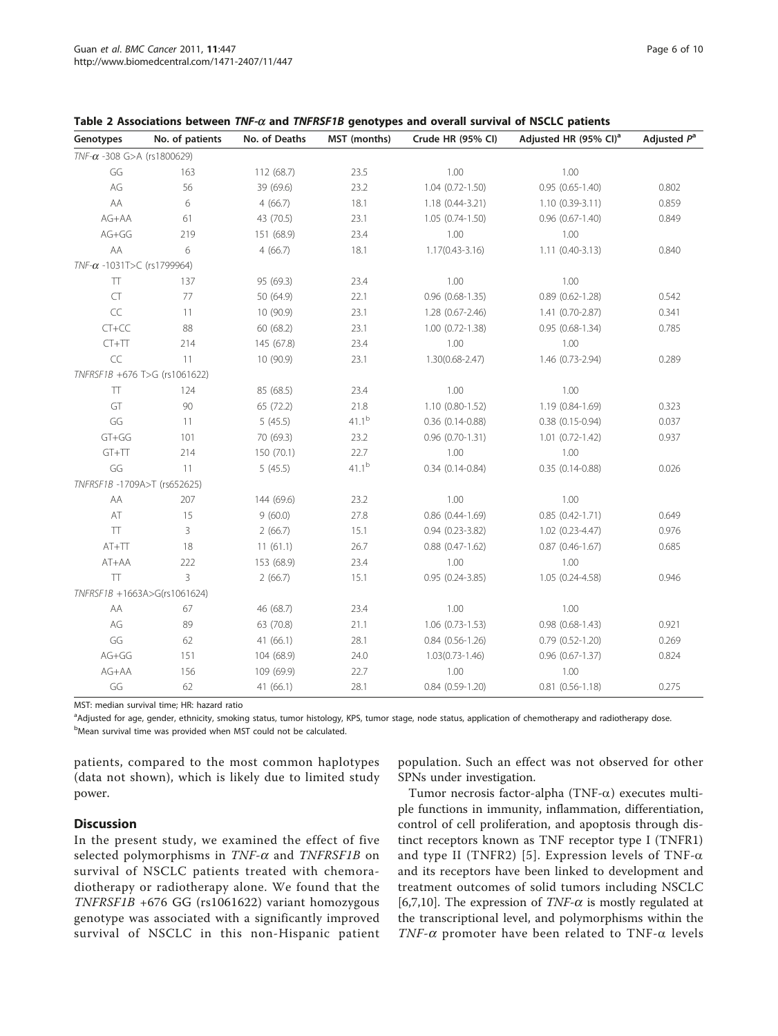| Genotypes                         | No. of patients | No. of Deaths | MST (months) | Crude HR (95% CI)      | Adjusted HR (95% CI) <sup>a</sup> | Adjusted $P^a$ |
|-----------------------------------|-----------------|---------------|--------------|------------------------|-----------------------------------|----------------|
| $TNF-\alpha$ -308 G>A (rs1800629) |                 |               |              |                        |                                   |                |
| GG                                | 163             | 112 (68.7)    | 23.5         | 1.00                   | 1.00                              |                |
| AG                                | 56              | 39 (69.6)     | 23.2         | $1.04$ $(0.72 - 1.50)$ | $0.95(0.65 - 1.40)$               | 0.802          |
| AA                                | 6               | 4(66.7)       | 18.1         | 1.18 (0.44-3.21)       | $1.10(0.39-3.11)$                 | 0.859          |
| AG+AA                             | 61              | 43 (70.5)     | 23.1         | $1.05(0.74-1.50)$      | $0.96(0.67 - 1.40)$               | 0.849          |
| AG+GG                             | 219             | 151 (68.9)    | 23.4         | 1.00                   | 1.00                              |                |
| AA                                | 6               | 4(66.7)       | 18.1         | $1.17(0.43 - 3.16)$    | $1.11(0.40-3.13)$                 | 0.840          |
| $TNF-\alpha -1031T>C$ (rs1799964) |                 |               |              |                        |                                   |                |
| $\top$                            | 137             | 95 (69.3)     | 23.4         | 1.00                   | 1.00                              |                |
| <b>CT</b>                         | 77              | 50 (64.9)     | 22.1         | $0.96$ $(0.68 - 1.35)$ | $0.89$ $(0.62 - 1.28)$            | 0.542          |
| $\subset \subset$                 | 11              | 10(90.9)      | 23.1         | $1.28(0.67 - 2.46)$    | 1.41 (0.70-2.87)                  | 0.341          |
| $CT+CC$                           | 88              | 60 (68.2)     | 23.1         | $1.00$ $(0.72 - 1.38)$ | $0.95(0.68-1.34)$                 | 0.785          |
| $CT+TT$                           | 214             | 145 (67.8)    | 23.4         | 1.00                   | 1.00                              |                |
| CC                                | 11              | 10(90.9)      | 23.1         | $1.30(0.68 - 2.47)$    | 1.46 (0.73-2.94)                  | 0.289          |
| TNFRSF1B +676 T>G (rs1061622)     |                 |               |              |                        |                                   |                |
| <b>TT</b>                         | 124             | 85 (68.5)     | 23.4         | 1.00                   | 1.00                              |                |
| GT                                | 90              | 65 (72.2)     | 21.8         | $1.10(0.80-1.52)$      | 1.19 (0.84-1.69)                  | 0.323          |
| GG                                | 11              | 5(45.5)       | $41.1^{b}$   | $0.36$ $(0.14 - 0.88)$ | $0.38$ $(0.15 - 0.94)$            | 0.037          |
| $GT+GG$                           | 101             | 70 (69.3)     | 23.2         | $0.96$ $(0.70-1.31)$   | $1.01$ $(0.72 - 1.42)$            | 0.937          |
| $GT+TT$                           | 214             | 150 (70.1)    | 22.7         | 1.00                   | 1.00                              |                |
| GG                                | 11              | 5(45.5)       | $41.1^{b}$   | $0.34(0.14 - 0.84)$    | $0.35(0.14-0.88)$                 | 0.026          |
| TNFRSF1B-1709A>T (rs652625)       |                 |               |              |                        |                                   |                |
| AA                                | 207             | 144 (69.6)    | 23.2         | 1.00                   | 1.00                              |                |
| AT                                | 15              | 9(60.0)       | 27.8         | $0.86$ $(0.44 - 1.69)$ | $0.85(0.42 - 1.71)$               | 0.649          |
| $\top$                            | 3               | 2(66.7)       | 15.1         | $0.94(0.23 - 3.82)$    | $1.02(0.23 - 4.47)$               | 0.976          |
| $AT+TT$                           | 18              | 11(61.1)      | 26.7         | $0.88$ $(0.47 - 1.62)$ | $0.87(0.46 - 1.67)$               | 0.685          |
| AT+AA                             | 222             | 153 (68.9)    | 23.4         | 1.00                   | 1.00                              |                |
| TT                                | 3               | 2(66.7)       | 15.1         | $0.95(0.24 - 3.85)$    | 1.05 (0.24-4.58)                  | 0.946          |
| TNFRSF1B +1663A>G(rs1061624)      |                 |               |              |                        |                                   |                |
| AA                                | 67              | 46 (68.7)     | 23.4         | 1.00                   | 1.00                              |                |
| AG                                | 89              | 63 (70.8)     | 21.1         | $1.06(0.73-1.53)$      | $0.98$ $(0.68 - 1.43)$            | 0.921          |
| GG                                | 62              | 41(66.1)      | 28.1         | $0.84$ $(0.56 - 1.26)$ | $0.79$ $(0.52 - 1.20)$            | 0.269          |
| $AG+GG$                           | 151             | 104 (68.9)    | 24.0         | $1.03(0.73 - 1.46)$    | 0.96 (0.67-1.37)                  | 0.824          |
| $AG+AA$                           | 156             | 109 (69.9)    | 22.7         | 1.00                   | 1.00                              |                |
| GG                                | 62              | 41(66.1)      | 28.1         | $0.84$ $(0.59-1.20)$   | $0.81$ $(0.56 - 1.18)$            | 0.275          |

#### <span id="page-5-0"></span>Table 2 Associations between  $TNF-\alpha$  and  $TNFRSF1B$  genotypes and overall survival of NSCLC patients

MST: median survival time; HR: hazard ratio

a<br>Adjusted for age, gender, ethnicity, smoking status, tumor histology, KPS, tumor stage, node status, application of chemotherapy and radiotherapy dose. <sup>b</sup>Mean survival time was provided when MST could not be calculated.

patients, compared to the most common haplotypes (data not shown), which is likely due to limited study power.

population. Such an effect was not observed for other SPNs under investigation.

## Discussion

In the present study, we examined the effect of five selected polymorphisms in  $TNF-\alpha$  and  $TNFRSF1B$  on survival of NSCLC patients treated with chemoradiotherapy or radiotherapy alone. We found that the TNFRSF1B +676 GG (rs1061622) variant homozygous genotype was associated with a significantly improved survival of NSCLC in this non-Hispanic patient

Tumor necrosis factor-alpha (TNF- $\alpha$ ) executes multiple functions in immunity, inflammation, differentiation, control of cell proliferation, and apoptosis through distinct receptors known as TNF receptor type I (TNFR1) and type II (TNFR2) [[5](#page-8-0)]. Expression levels of TNF- $\alpha$ and its receptors have been linked to development and treatment outcomes of solid tumors including NSCLC [[6,7,10\]](#page-8-0). The expression of  $TNF-\alpha$  is mostly regulated at the transcriptional level, and polymorphisms within the TNF- $\alpha$  promoter have been related to TNF- $\alpha$  levels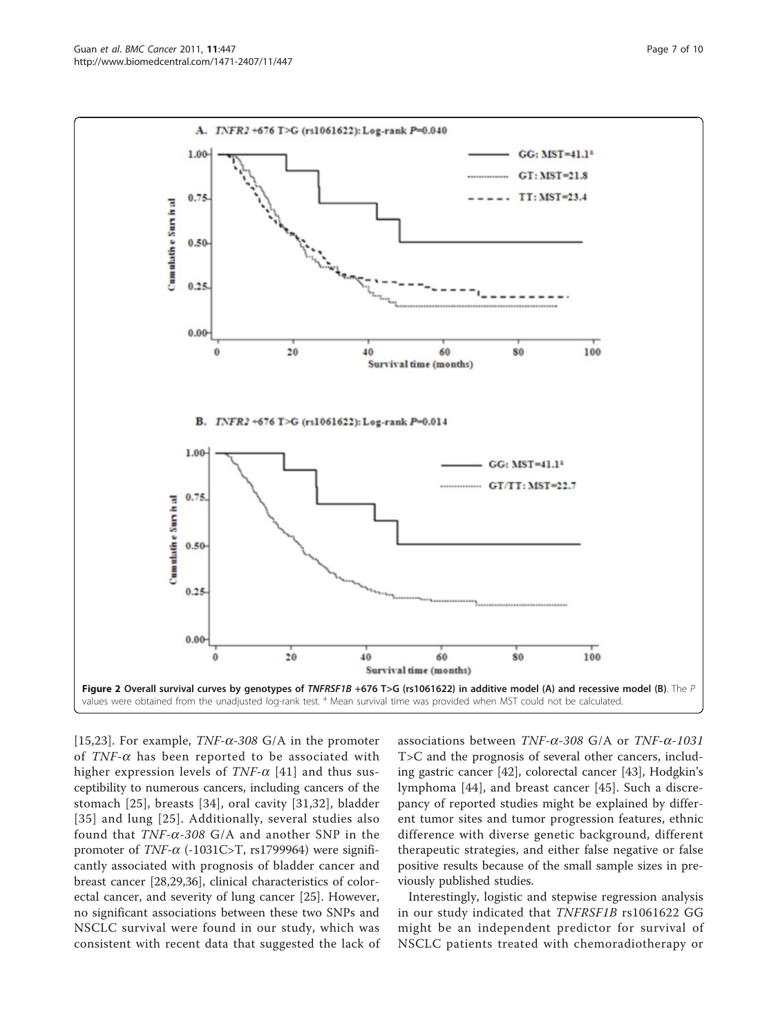[[15](#page-8-0)[,23](#page-9-0)]. For example,  $TNF-\alpha$ -308 G/A in the promoter of  $TNF-\alpha$  has been reported to be associated with higher expression levels of  $TNF-\alpha$  [[41](#page-9-0)] and thus susceptibility to numerous cancers, including cancers of the stomach [\[25\]](#page-9-0), breasts [[34\]](#page-9-0), oral cavity [[31,32\]](#page-9-0), bladder [[35\]](#page-9-0) and lung [\[25\]](#page-9-0). Additionally, several studies also found that  $TNF-\alpha-308$  G/A and another SNP in the promoter of  $TNF-\alpha$  (-1031C>T, rs1799964) were significantly associated with prognosis of bladder cancer and breast cancer [[28,29,36\]](#page-9-0), clinical characteristics of colorectal cancer, and severity of lung cancer [[25\]](#page-9-0). However, no significant associations between these two SNPs and NSCLC survival were found in our study, which was consistent with recent data that suggested the lack of

associations between TNF- $\alpha$ -308 G/A or TNF- $\alpha$ -1031 T>C and the prognosis of several other cancers, including gastric cancer [[42\]](#page-9-0), colorectal cancer [[43\]](#page-9-0), Hodgkin's lymphoma [\[44](#page-9-0)], and breast cancer [\[45](#page-9-0)]. Such a discrepancy of reported studies might be explained by different tumor sites and tumor progression features, ethnic difference with diverse genetic background, different therapeutic strategies, and either false negative or false positive results because of the small sample sizes in previously published studies.

Interestingly, logistic and stepwise regression analysis in our study indicated that TNFRSF1B rs1061622 GG might be an independent predictor for survival of NSCLC patients treated with chemoradiotherapy or

<span id="page-6-0"></span>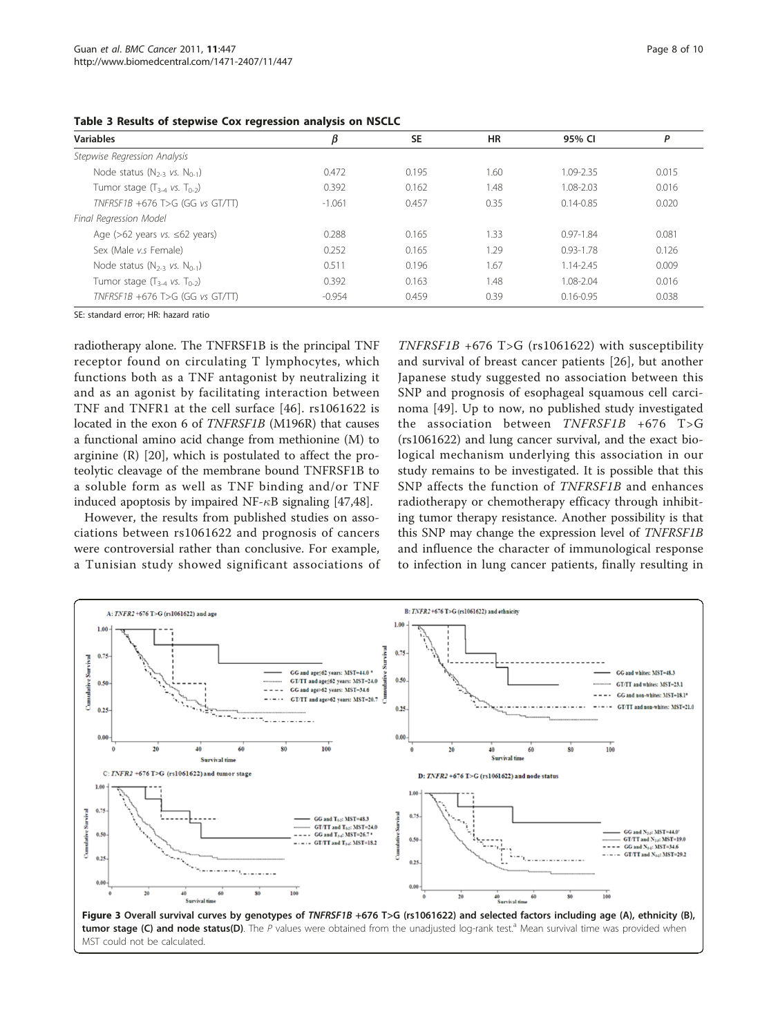<span id="page-7-0"></span>

|          | SE    | ΗR   | 95% CI        | P     |
|----------|-------|------|---------------|-------|
|          |       |      |               |       |
| 0.472    | 0.195 | 1.60 | 1.09-2.35     | 0.015 |
| 0.392    | 0.162 | .48  | $1.08 - 2.03$ | 0.016 |
| $-1.061$ | 0.457 | 0.35 | $0.14 - 0.85$ | 0.020 |
|          |       |      |               |       |

Age (>62 years vs. ≤62 years) 0.081 0.288 0.165 1.33 0.97-1.84 0.081 Sex (Male v.s Female) 0.252 0.165 1.29 0.93-1.78 0.126 Node status (N<sub>2-3</sub> vs. N<sub>0-1</sub>) 0.511 0.196 1.67 1.14-2.45 0.009 Tumor stage  $(T_{3-4}$  vs. T<sub>0-2</sub>) 0.392 0.163 1.48 1.08-2.04 0.016 TNFRSF1B +676 T>G (GG vs GT/TT) - -0.954 0.459 0.39 0.16-0.95 0.16-0.95 0.038

Table 3 Reg

SE: standard error; HR: hazard ratio

radiotherapy alone. The TNFRSF1B is the principal TNF receptor found on circulating T lymphocytes, which functions both as a TNF antagonist by neutralizing it and as an agonist by facilitating interaction between TNF and TNFR1 at the cell surface [\[46\]](#page-9-0). rs1061622 is located in the exon 6 of TNFRSF1B (M196R) that causes a functional amino acid change from methionine (M) to arginine (R) [[20\]](#page-9-0), which is postulated to affect the proteolytic cleavage of the membrane bound TNFRSF1B to a soluble form as well as TNF binding and/or TNF induced apoptosis by impaired NF- $\kappa$ B signaling [[47](#page-9-0),[48](#page-9-0)].

However, the results from published studies on associations between rs1061622 and prognosis of cancers were controversial rather than conclusive. For example, a Tunisian study showed significant associations of

TNFRSF1B +676 T>G (rs1061622) with susceptibility and survival of breast cancer patients [[26](#page-9-0)], but another Japanese study suggested no association between this SNP and prognosis of esophageal squamous cell carcinoma [[49](#page-9-0)]. Up to now, no published study investigated the association between TNFRSF1B +676 T>G (rs1061622) and lung cancer survival, and the exact biological mechanism underlying this association in our study remains to be investigated. It is possible that this SNP affects the function of TNFRSF1B and enhances radiotherapy or chemotherapy efficacy through inhibiting tumor therapy resistance. Another possibility is that this SNP may change the expression level of TNFRSF1B and influence the character of immunological response to infection in lung cancer patients, finally resulting in

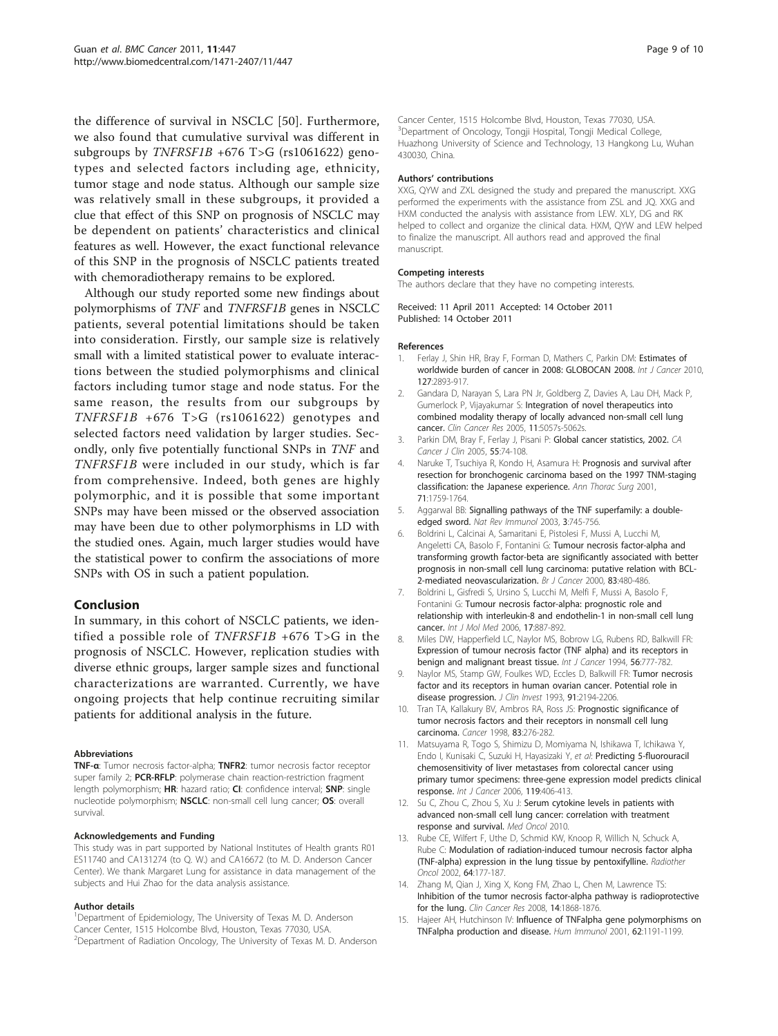<span id="page-8-0"></span>the difference of survival in NSCLC [[50](#page-9-0)]. Furthermore, we also found that cumulative survival was different in subgroups by TNFRSF1B +676 T>G (rs1061622) genotypes and selected factors including age, ethnicity, tumor stage and node status. Although our sample size was relatively small in these subgroups, it provided a clue that effect of this SNP on prognosis of NSCLC may be dependent on patients' characteristics and clinical features as well. However, the exact functional relevance of this SNP in the prognosis of NSCLC patients treated with chemoradiotherapy remains to be explored.

Although our study reported some new findings about polymorphisms of TNF and TNFRSF1B genes in NSCLC patients, several potential limitations should be taken into consideration. Firstly, our sample size is relatively small with a limited statistical power to evaluate interactions between the studied polymorphisms and clinical factors including tumor stage and node status. For the same reason, the results from our subgroups by TNFRSF1B +676 T>G (rs1061622) genotypes and selected factors need validation by larger studies. Secondly, only five potentially functional SNPs in TNF and TNFRSF1B were included in our study, which is far from comprehensive. Indeed, both genes are highly polymorphic, and it is possible that some important SNPs may have been missed or the observed association may have been due to other polymorphisms in LD with the studied ones. Again, much larger studies would have the statistical power to confirm the associations of more SNPs with OS in such a patient population.

#### Conclusion

In summary, in this cohort of NSCLC patients, we identified a possible role of TNFRSF1B +676 T>G in the prognosis of NSCLC. However, replication studies with diverse ethnic groups, larger sample sizes and functional characterizations are warranted. Currently, we have ongoing projects that help continue recruiting similar patients for additional analysis in the future.

#### **Abbreviations**

TNF-α: Tumor necrosis factor-alpha; TNFR2: tumor necrosis factor receptor super family 2; PCR-RFLP: polymerase chain reaction-restriction fragment length polymorphism; HR: hazard ratio; CI: confidence interval; SNP: single nucleotide polymorphism; NSCLC: non-small cell lung cancer; OS: overall survival.

#### Acknowledgements and Funding

This study was in part supported by National Institutes of Health grants R01 ES11740 and CA131274 (to Q. W.) and CA16672 (to M. D. Anderson Cancer Center). We thank Margaret Lung for assistance in data management of the subjects and Hui Zhao for the data analysis assistance.

#### Author details

<sup>1</sup>Department of Epidemiology, The University of Texas M. D. Anderson Cancer Center, 1515 Holcombe Blvd, Houston, Texas 77030, USA. <sup>2</sup>Department of Radiation Oncology, The University of Texas M. D. Anderson Cancer Center, 1515 Holcombe Blvd, Houston, Texas 77030, USA. 3 Department of Oncology, Tongji Hospital, Tongji Medical College, Huazhong University of Science and Technology, 13 Hangkong Lu, Wuhan 430030, China.

#### Authors' contributions

XXG, QYW and ZXL designed the study and prepared the manuscript. XXG performed the experiments with the assistance from ZSL and JQ. XXG and HXM conducted the analysis with assistance from LEW. XLY, DG and RK helped to collect and organize the clinical data. HXM, QYW and LEW helped to finalize the manuscript. All authors read and approved the final manuscript.

#### Competing interests

The authors declare that they have no competing interests.

Received: 11 April 2011 Accepted: 14 October 2011 Published: 14 October 2011

#### References

- Ferlay J, Shin HR, Bray F, Forman D, Mathers C, Parkin DM: [Estimates of](http://www.ncbi.nlm.nih.gov/pubmed/21351269?dopt=Abstract) [worldwide burden of cancer in 2008: GLOBOCAN 2008.](http://www.ncbi.nlm.nih.gov/pubmed/21351269?dopt=Abstract) Int J Cancer 2010, 127:2893-917.
- 2. Gandara D, Narayan S, Lara PN Jr, Goldberg Z, Davies A, Lau DH, Mack P, Gumerlock P, Vijayakumar S: [Integration of novel therapeutics into](http://www.ncbi.nlm.nih.gov/pubmed/16000614?dopt=Abstract) [combined modality therapy of locally advanced non-small cell lung](http://www.ncbi.nlm.nih.gov/pubmed/16000614?dopt=Abstract) [cancer.](http://www.ncbi.nlm.nih.gov/pubmed/16000614?dopt=Abstract) Clin Cancer Res 2005, 11:5057s-5062s.
- 3. Parkin DM, Bray F, Ferlay J, Pisani P: [Global cancer statistics, 2002.](http://www.ncbi.nlm.nih.gov/pubmed/15761078?dopt=Abstract) CA Cancer J Clin 2005, 55:74-108.
- 4. Naruke T, Tsuchiya R, Kondo H, Asamura H: [Prognosis and survival after](http://www.ncbi.nlm.nih.gov/pubmed/11426744?dopt=Abstract) [resection for bronchogenic carcinoma based on the 1997 TNM-staging](http://www.ncbi.nlm.nih.gov/pubmed/11426744?dopt=Abstract) [classification: the Japanese experience.](http://www.ncbi.nlm.nih.gov/pubmed/11426744?dopt=Abstract) Ann Thorac Surg 2001, 71:1759-1764.
- 5. Aggarwal BB: [Signalling pathways of the TNF superfamily: a double](http://www.ncbi.nlm.nih.gov/pubmed/12949498?dopt=Abstract)[edged sword.](http://www.ncbi.nlm.nih.gov/pubmed/12949498?dopt=Abstract) Nat Rev Immunol 2003, 3:745-756.
- 6. Boldrini L, Calcinai A, Samaritani E, Pistolesi F, Mussi A, Lucchi M, Angeletti CA, Basolo F, Fontanini G: [Tumour necrosis factor-alpha and](http://www.ncbi.nlm.nih.gov/pubmed/10945495?dopt=Abstract) [transforming growth factor-beta are significantly associated with better](http://www.ncbi.nlm.nih.gov/pubmed/10945495?dopt=Abstract) [prognosis in non-small cell lung carcinoma: putative relation with BCL-](http://www.ncbi.nlm.nih.gov/pubmed/10945495?dopt=Abstract)[2-mediated neovascularization.](http://www.ncbi.nlm.nih.gov/pubmed/10945495?dopt=Abstract) Br J Cancer 2000, 83:480-486.
- 7. Boldrini L, Gisfredi S, Ursino S, Lucchi M, Melfi F, Mussi A, Basolo F, Fontanini G: [Tumour necrosis factor-alpha: prognostic role and](http://www.ncbi.nlm.nih.gov/pubmed/16596276?dopt=Abstract) [relationship with interleukin-8 and endothelin-1 in non-small cell lung](http://www.ncbi.nlm.nih.gov/pubmed/16596276?dopt=Abstract) [cancer.](http://www.ncbi.nlm.nih.gov/pubmed/16596276?dopt=Abstract) Int J Mol Med 2006, 17:887-892.
- 8. Miles DW, Happerfield LC, Naylor MS, Bobrow LG, Rubens RD, Balkwill FR: [Expression of tumour necrosis factor \(TNF alpha\) and its receptors in](http://www.ncbi.nlm.nih.gov/pubmed/8119765?dopt=Abstract) [benign and malignant breast tissue.](http://www.ncbi.nlm.nih.gov/pubmed/8119765?dopt=Abstract) Int J Cancer 1994, 56:777-782
- 9. Naylor MS, Stamp GW, Foulkes WD, Eccles D, Balkwill FR: [Tumor necrosis](http://www.ncbi.nlm.nih.gov/pubmed/8387543?dopt=Abstract) [factor and its receptors in human ovarian cancer. Potential role in](http://www.ncbi.nlm.nih.gov/pubmed/8387543?dopt=Abstract) [disease progression.](http://www.ncbi.nlm.nih.gov/pubmed/8387543?dopt=Abstract) J Clin Invest 1993, 91:2194-2206.
- 10. Tran TA, Kallakury BV, Ambros RA, Ross JS: [Prognostic significance of](http://www.ncbi.nlm.nih.gov/pubmed/9669810?dopt=Abstract) [tumor necrosis factors and their receptors in nonsmall cell lung](http://www.ncbi.nlm.nih.gov/pubmed/9669810?dopt=Abstract) [carcinoma.](http://www.ncbi.nlm.nih.gov/pubmed/9669810?dopt=Abstract) Cancer 1998, 83:276-282.
- 11. Matsuyama R, Togo S, Shimizu D, Momiyama N, Ishikawa T, Ichikawa Y, Endo I, Kunisaki C, Suzuki H, Hayasizaki Y, et al: [Predicting 5-fluorouracil](http://www.ncbi.nlm.nih.gov/pubmed/16477629?dopt=Abstract) [chemosensitivity of liver metastases from colorectal cancer using](http://www.ncbi.nlm.nih.gov/pubmed/16477629?dopt=Abstract) [primary tumor specimens: three-gene expression model predicts clinical](http://www.ncbi.nlm.nih.gov/pubmed/16477629?dopt=Abstract) [response.](http://www.ncbi.nlm.nih.gov/pubmed/16477629?dopt=Abstract) Int J Cancer 2006, 119:406-413.
- 12. Su C, Zhou C, Zhou S, Xu J: Serum cytokine levels in patients with advanced non-small cell lung cancer: correlation with treatment response and survival. Med Oncol 2010.
- 13. Rube CE, Wilfert F, Uthe D, Schmid KW, Knoop R, Willich N, Schuck A, Rube C: [Modulation of radiation-induced tumour necrosis factor alpha](http://www.ncbi.nlm.nih.gov/pubmed/12242128?dopt=Abstract) [\(TNF-alpha\) expression in the lung tissue by pentoxifylline.](http://www.ncbi.nlm.nih.gov/pubmed/12242128?dopt=Abstract) Radiother Oncol 2002, 64:177-187.
- 14. Zhang M, Qian J, Xing X, Kong FM, Zhao L, Chen M, Lawrence TS: [Inhibition of the tumor necrosis factor-alpha pathway is radioprotective](http://www.ncbi.nlm.nih.gov/pubmed/18347190?dopt=Abstract) [for the lung.](http://www.ncbi.nlm.nih.gov/pubmed/18347190?dopt=Abstract) Clin Cancer Res 2008, 14:1868-1876.
- 15. Hajeer AH, Hutchinson IV: [Influence of TNFalpha gene polymorphisms on](http://www.ncbi.nlm.nih.gov/pubmed/11704281?dopt=Abstract) [TNFalpha production and disease.](http://www.ncbi.nlm.nih.gov/pubmed/11704281?dopt=Abstract) Hum Immunol 2001, 62:1191-1199.